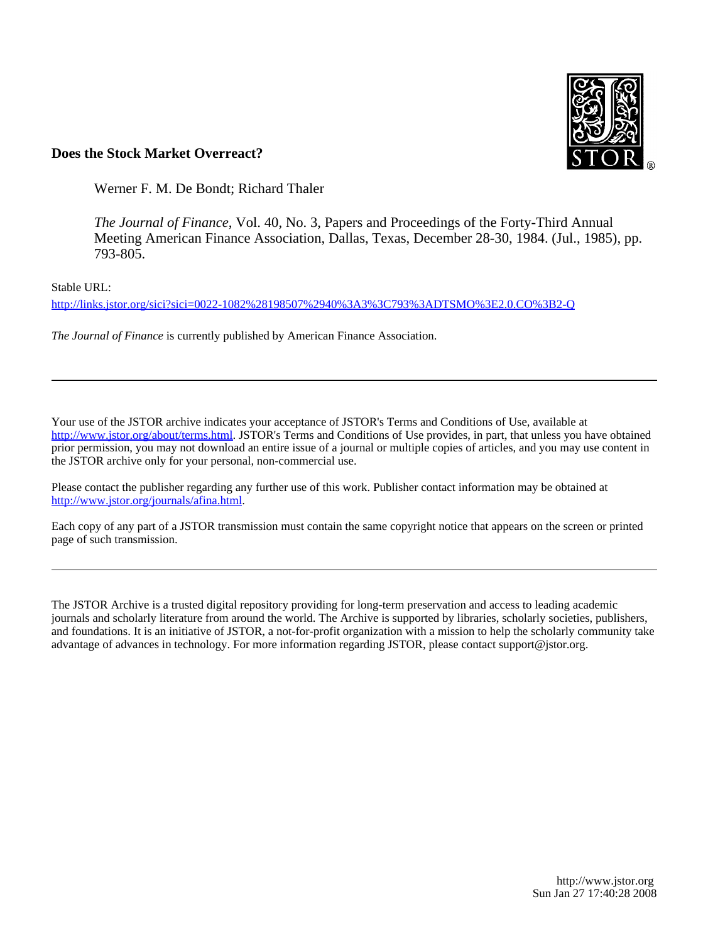

### **Does the Stock Market Overreact?**

Werner F. M. De Bondt; Richard Thaler

*The Journal of Finance*, Vol. 40, No. 3, Papers and Proceedings of the Forty-Third Annual Meeting American Finance Association, Dallas, Texas, December 28-30, 1984. (Jul., 1985), pp. 793-805.

Stable URL:

<http://links.jstor.org/sici?sici=0022-1082%28198507%2940%3A3%3C793%3ADTSMO%3E2.0.CO%3B2-Q>

*The Journal of Finance* is currently published by American Finance Association.

Your use of the JSTOR archive indicates your acceptance of JSTOR's Terms and Conditions of Use, available at [http://www.jstor.org/about/terms.html.](http://www.jstor.org/about/terms.html) JSTOR's Terms and Conditions of Use provides, in part, that unless you have obtained prior permission, you may not download an entire issue of a journal or multiple copies of articles, and you may use content in the JSTOR archive only for your personal, non-commercial use.

Please contact the publisher regarding any further use of this work. Publisher contact information may be obtained at <http://www.jstor.org/journals/afina.html>.

Each copy of any part of a JSTOR transmission must contain the same copyright notice that appears on the screen or printed page of such transmission.

The JSTOR Archive is a trusted digital repository providing for long-term preservation and access to leading academic journals and scholarly literature from around the world. The Archive is supported by libraries, scholarly societies, publishers, and foundations. It is an initiative of JSTOR, a not-for-profit organization with a mission to help the scholarly community take advantage of advances in technology. For more information regarding JSTOR, please contact support@jstor.org.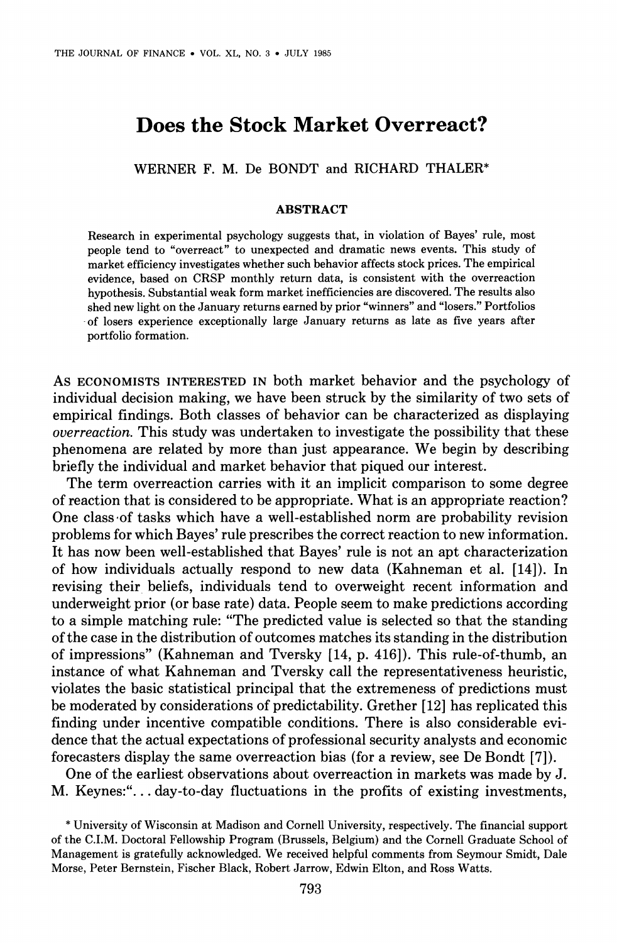# **Does the Stock Market Overreact?**

WERNER F. M. De BONDT and RICHARD THALER\*

#### **ABSTRACT**

Research in experimental psychology suggests that, in violation of Bayes' rule, most people tend to "overreact" to unexpected and dramatic news events. This study of market efficiency investigates whether such behavior affects stock prices. The empirical evidence, based on CRSP monthly return data, is consistent with the overreaction hypothesis. Substantial weak form market inefficiencies are discovered. The results also shed new light on the January returns earned by prior "winners" and "losers." Portfolios of losers experience exceptionally large January returns as late as five years after portfolio formation.

**As ECONOMISTS INTERESTED IN** both market behavior and the psychology of individual decision making, we have been struck by the similarity of two sets of empirical findings. Both classes of behavior can be characterized as displaying *ouerreaction.* This study was undertaken to investigate the possibility that these phenomena are related by more than just appearance. We begin by describing briefly the individual and market behavior that piqued our interest.

The term overreaction carries with it an implicit comparison to some degree of reaction that is considered to be appropriate. What is an appropriate reaction? One class.of tasks which have a well-established norm are probability revision problems for which Bayes' rule prescribes the correct reaction to new information. It has now been well-established that Bayes' rule is not an apt characterization of how individuals actually respond to new data (Kahneman et al. **[14]).** In revising their beliefs, individuals tend to overweight recent information and underweight prior (or base rate) data. People seem to make predictions according to a simple matching rule: "The predicted value is selected so that the standing of the case in the distribution of outcomes matches its standing in the distribution of impressions" (Kahneman and Tversky [14, p. 4161). This rule-of-thumb, an instance of what Kahneman and Tversky call the representativeness heuristic, violates the basic statistical principal that the extremeness of predictions must be moderated by considerations of predictability. Grether [12] has replicated this finding under incentive compatible conditions. There is also considerable evidence that the actual expectations of professional security analysts and economic forecasters display the same overreaction bias (for a review, see De Bondt [7]).

One of the earliest observations about overreaction in markets was made by J. M. Keynes:". ..day-to-day fluctuations in the profits of existing investments,

<sup>\*</sup> University of Wisconsin at Madison and Cornell University, respectively. The financial support of the C.I.M. Doctoral Fellowship Program (Brussels, Belgium) and the Cornell Graduate School of Management is gratefully acknowledged. We received helpful comments from Seymour Smidt, Dale Morse, Peter Bernstein, Fischer Black, Robert Jarrow, Edwin Elton, and Ross Watts.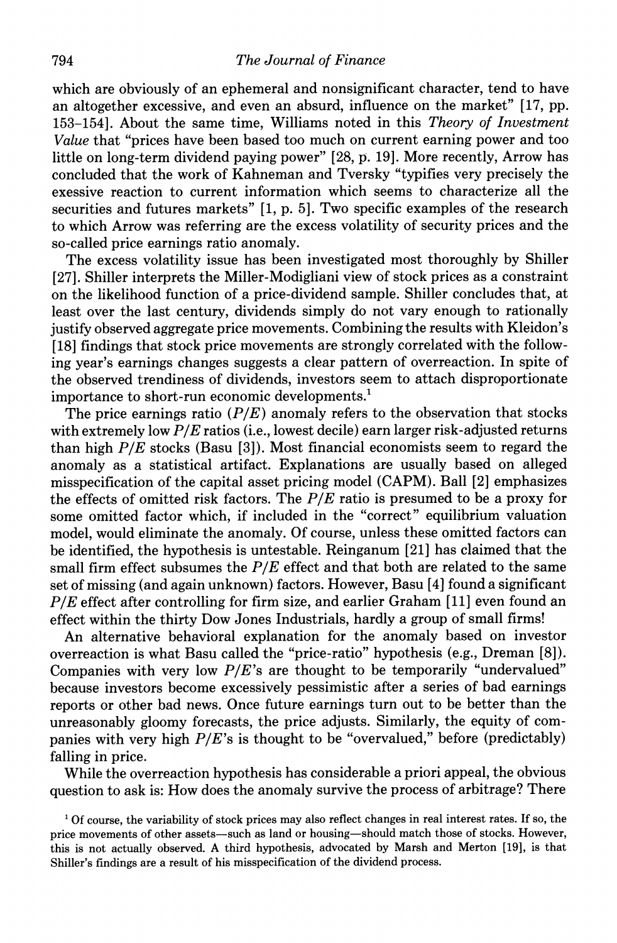which are obviously of an ephemeral and nonsignificant character, tend to have an altogether excessive, and even an absurd, influence on the market" [17, pp. 153-1541. About the same time, Williams noted in this *Theory of Investment Value* that "prices have been based too much on current earning power and too little on long-term dividend paying power" [28, p. 191. More recently, Arrow has concluded that the work of Kahneman and Tversky "typifies very precisely the exessive reaction to current information which seems to characterize all the securities and futures markets" [1, p. 5]. Two specific examples of the research to which Arrow was referring are the excess volatility of security prices and the so-called price earnings ratio anomaly.

The excess volatility issue has been investigated most thoroughly by Shiller [27]. Shiller interprets the Miller-Modigliani view of stock prices as a constraint on the likelihood function of a price-dividend sample. Shiller concludes that, at least over the last century, dividends simply do not vary enough to rationally justify observed aggregate price movements. Combining the results with Kleidon's [18] findings that stock price movements are strongly correlated with the following year's earnings changes suggests a clear pattern of overreaction. In spite of the observed trendiness of dividends, investors seem to attach disproportionate importance to short-run economic developments.'

The price earnings ratio  $(P/E)$  anomaly refers to the observation that stocks with extremely low  $P/E$  ratios (i.e., lowest decile) earn larger risk-adjusted returns than high  $P/E$  stocks (Basu [3]). Most financial economists seem to regard the anomaly as a statistical artifact. Explanations are usually based on alleged misspecification of the capital asset pricing model (CAPM). Ball [2] emphasizes the effects of omitted risk factors. The  $P/E$  ratio is presumed to be a proxy for some omitted factor which, if included in the "correct" equilibrium valuation model, would eliminate the anomaly. Of course, unless these omitted factors can be identified, the hypothesis is untestable. Reinganum [21] has claimed that the small firm effect subsumes the  $P/E$  effect and that both are related to the same set of missing (and again unknown) factors. However, Basu [4] found a significant  $P/E$  effect after controlling for firm size, and earlier Graham [11] even found an effect within the thirty Dow Jones Industrials, hardly a group of small firms!

An alternative behavioral explanation for the anomaly based on investor overreaction is what Basu called the "price-ratio" hypothesis (e.g., Dreman [8]). Companies with very low  $P/E$ 's are thought to be temporarily "undervalued" because investors become excessively pessimistic after a series of bad earnings reports or other bad news. Once future earnings turn out to be better than the unreasonably gloomy forecasts, the price adjusts. Similarly, the equity of companies with very high  $P/E$ 's is thought to be "overvalued," before (predictably) falling in price.

While the overreaction hypothesis has considerable a priori appeal, the obvious question to ask is: How does the anomaly survive the process of arbitrage? There

<sup>&</sup>lt;sup>1</sup> Of course, the variability of stock prices may also reflect changes in real interest rates. If so, the price movements of other assets-such as land or housing-should match those of stocks. However, this is not actually observed. A third hypothesis, advocated by Marsh and Merton [19], is that Shiller's findings are a result of his misspecification of the dividend process.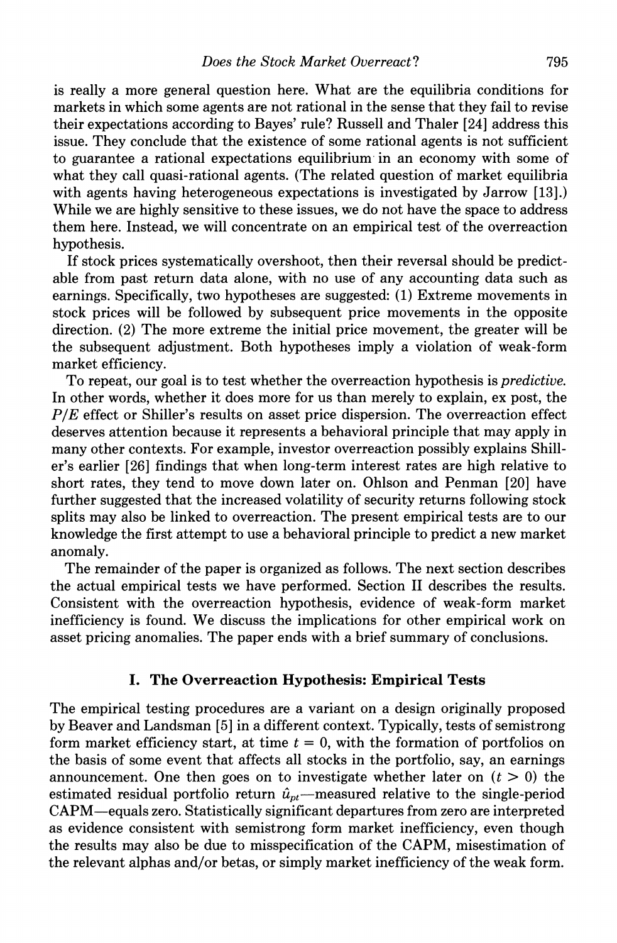is really a more general question here. What are the equilibria conditions for markets in which some agents are not rational in the sense that they fail to revise their expectations according to Bayes' rule? Russell and Thaler [24] address this issue. They conclude that the existence of some rational agents is not sufficient to guarantee a rational expectations equilibrium in an economy with some of what they call quasi-rational agents. (The related question of market equilibria with agents having heterogeneous expectations is investigated by Jarrow [13].) While we are highly sensitive to these issues, we do not have the space to address them here. Instead, we will concentrate on an empirical test of the overreaction hypothesis.

If stock prices systematically overshoot, then their reversal should be predictable from past return data alone, with no use of any accounting data such as earnings. Specifically, two hypotheses are suggested: (1) Extreme movements in stock prices will be followed by subsequent price movements in the opposite direction. (2) The more extreme the initial price movement, the greater will be the subsequent adjustment. Both hypotheses imply a violation of weak-form market efficiency.

To repeat, our goal is to test whether the overreaction hypothesis is predictive. In other words, whether it does more for us than merely to explain, ex post, the *PIE* effect or Shiller's results on asset price dispersion. The overreaction effect deserves attention because it represents a behavioral principle that may apply in many other contexts. For example, investor overreaction possibly explains Shiller's earlier [26] findings that when long-term interest rates are high relative to short rates, they tend to move down later on. Ohlson and Penman [20] have further suggested that the increased volatility of security returns following stock splits may also be linked to overreaction. The present empirical tests are to our knowledge the first attempt to use a behavioral principle to predict a new market anomaly.

The remainder of the paper is organized as follows. The next section describes the actual empirical tests we have performed. Section **I1** describes the results. Consistent with the overreaction hypothesis, evidence of weak-form market inefficiency is found. We discuss the implications for other empirical work on asset pricing anomalies. The paper ends with a brief summary of conclusions.

#### **I. The Overreaction Hypothesis: Empirical Tests**

The empirical testing procedures are a variant on a design originally proposed by Beaver and Landsman [5] in a different context. Typically, tests of semistrong form market efficiency start, at time  $t = 0$ , with the formation of portfolios on the basis of some event that affects all stocks in the portfolio, say, an earnings announcement. One then goes on to investigate whether later on  $(t > 0)$  the estimated residual portfolio return  $\hat{u}_{pt}$ -measured relative to the single-period CAPM-equals zero. Statistically significant departures from zero are interpreted as evidence consistent with semistrong form market inefficiency, even though the results may also be due to misspecification of the CAPM, misestimation of the relevant alphas and/or betas, or simply market inefficiency of the weak form.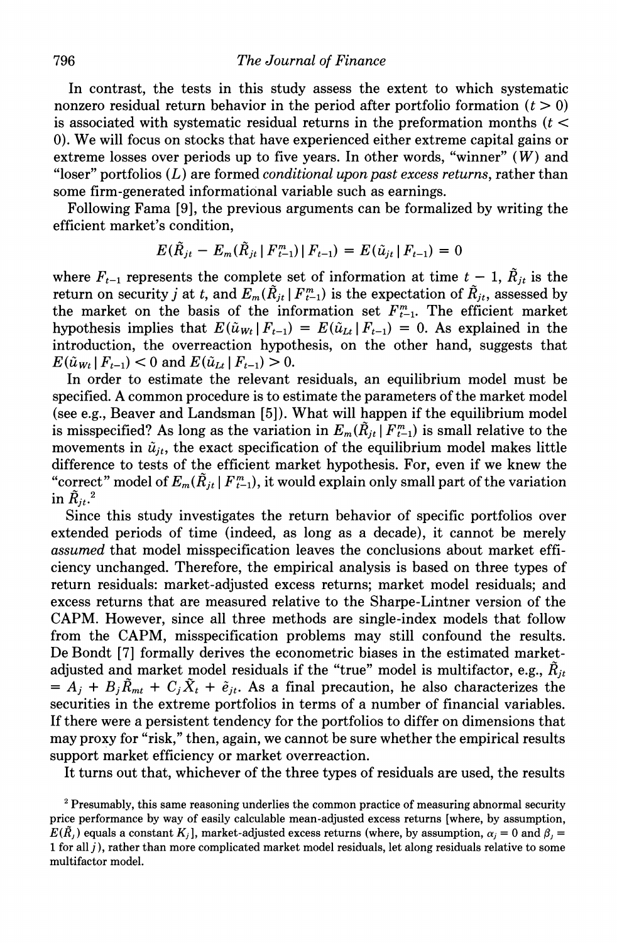In contrast, the tests in this study assess the extent to which systematic nonzero residual return behavior in the period after portfolio formation ( $t > 0$ ) is associated with systematic residual returns in the preformation months  $(t <$ 0). We will focus on stocks that have experienced either extreme capital gains or extreme losses over periods up to five years. In other words, "winner" (W) and "loser" portfolios  $(L)$  are formed conditional upon past excess returns, rather than some firm-generated informational variable such as earnings.

Following Fama [9], the previous arguments can be formalized by writing the efficient market's condition, Solution,<br>  $E(\tilde{R}_{jt} - E_m(\tilde{R}_{jt} | F_{t-1}^m) | F_{t-1}) = E(\tilde{u}_{jt} | F_{t-1}) = 0$ 

$$
E(\tilde{R}_{jt} - E_m(\tilde{R}_{jt} | F_{t-1}^m) | F_{t-1}) = E(\tilde{u}_{jt} | F_{t-1}) = 0
$$

where  $F_{t-1}$  represents the complete set of information at time  $t - 1$ ,  $\tilde{R}_{it}$  is the return on security j at t, and  $\vec{E}_m(\tilde{R}_{jt} | F_{t-1}^m)$  is the expectation of  $\tilde{R}_{jt}$ , assessed by the market on the basis of the information set  $F_{t-1}^m$ . The efficient market hypothesis implies that  $E(\tilde{u}_{Wt} | F_{t-1}) = E(\tilde{u}_{Lt} | F_{t-1}) = 0$ . As explained in the introduction, the overreaction hypothesis, on the other hand, suggests that  $E(\tilde{u}_{W_t} | F_{t-1}) < 0$  and  $E(\tilde{u}_{Lt} | F_{t-1}) > 0$ .

In order to estimate the relevant residuals, an equilibrium model must be specified. A common procedure is to estimate the parameters of the market model (see e.g., Beaver and Landsman *[5]).*What will happen if the equilibrium model is misspecified? As long as the variation in  $E_m(\tilde{R}_{i} | F_{t-1}^m)$  is small relative to the movements in  $\tilde{u}_{it}$ , the exact specification of the equilibrium model makes little difference to tests of the efficient market hypothesis. For, even if we knew the "correct" model of  $E_m(\tilde{R}_{it} | F_{t-1}^m)$ , it would explain only small part of the variation in  $\tilde{R}_{it}$ <sup>2</sup>.

Since this study investigates the return behavior of specific portfolios over extended periods of time (indeed, as long as a decade), it cannot be merely assumed that model misspecification leaves the conclusions about market efficiency unchanged. Therefore, the empirical analysis is based on three types of return residuals: market-adjusted excess returns; market model residuals; and excess returns that are measured relative to the Sharpe-Lintner version of the CAPM. However, since all three methods are single-index models that follow from the CAPM, misspecification problems may still confound the results. De Bondt [7] formally derives the econometric biases in the estimated marketadjusted and market model residuals if the "true" model is multifactor, e.g.,  $\tilde{R}_{jt}$ <br>=  $A_j + B_j \tilde{R}_{mt} + C_j \tilde{X}_t + \tilde{e}_{jt}$ . As a final precaution, he also characterizes the securities in the extreme portfolios in terms of a number of financial variables. If there were a persistent tendency for the portfolios to differ on dimensions that may proxy for "risk," then, again, we cannot be sure whether the empirical results support market efficiency or market overreaction.

It turns out that, whichever of the three types of residuals are used, the results

 $P^2$  Presumably, this same reasoning underlies the common practice of measuring abnormal security price performance by way of easily calculable mean-adjusted excess returns [where, by assumption,  $E(\tilde{R}_i)$  equals a constant  $K_i$ ], market-adjusted excess returns (where, by assumption,  $\alpha_i=0$  and  $\beta_i=0$ 1 for all  $j$ ), rather than more complicated market model residuals, let along residuals relative to some multifactor model.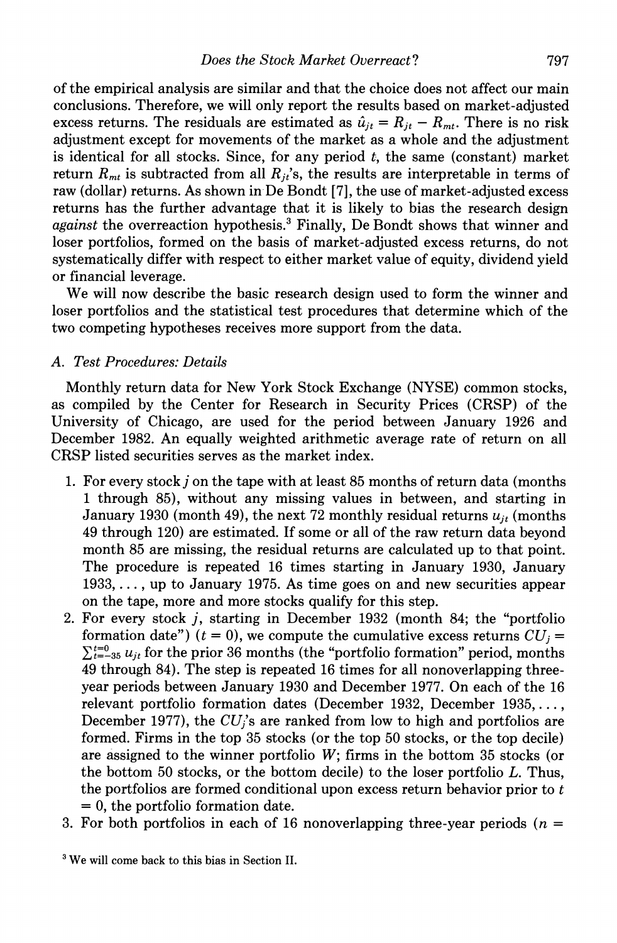of the empirical analysis are similar and that the choice does not affect our main conclusions. Therefore, we will only report the results based on market-adjusted excess returns. The residuals are estimated as  $\hat{u}_{it} = R_{it} - R_{mt}$ . There is no risk adjustment except for movements of the market as a whole and the adjustment is identical for all stocks. Since, for any period  $t$ , the same (constant) market return  $R_{mt}$  is subtracted from all  $R_{it}$ 's, the results are interpretable in terms of raw (dollar) returns. As shown in De Bondt [7], the use of market-adjusted excess returns has the further advantage that it is likely to bias the research design against the overreaction hypothesis.<sup>3</sup> Finally, De Bondt shows that winner and loser portfolios, formed on the basis of market-adjusted excess returns, do not systematically differ with respect to either market value of equity, dividend yield or financial leverage.

We will now describe the basic research design used to form the winner and loser portfolios and the statistical test procedures that determine which of the two competing hypotheses receives more support from the data.

#### *A.* Test Procedures: Details

Monthly return data for New York Stock Exchange (NYSE) common stocks, as compiled by the Center for Research in Security Prices (CRSP) of the University of Chicago, are used for the period between January 1926 and December 1982. An equally weighted arithmetic average rate of return on all CRSP listed securities serves as the market index.

- 1. For every stock j on the tape with at least 85 months of return data (months 1 through 85), without any missing values in between, and starting in January 1930 (month 49), the next 72 monthly residual returns  $u_{it}$  (months 49 through 120) are estimated. If some or all of the raw return data beyond month 85 are missing, the residual returns are calculated up to that point. The procedure is repeated 16 times starting in January 1930, January 1933,. . . , up to January 1975. As time goes on and new securities appear on the tape, more and more stocks qualify for this step.
- 2. For every stock j, starting in December 1932 (month 84; the "portfolio formation date") ( $t = 0$ ), we compute the cumulative excess returns  $CU_i =$  $\sum_{t=-35}^{t=0} u_{jt}$  for the prior 36 months (the "portfolio formation" period, months 49 through 84). The step is repeated 16 times for all nonoverlapping threeyear periods between January 1930 and December 1977. On each of the 16 relevant portfolio formation dates (December 1932, December 1935,. . . , December 1977), the  $CU_i$ 's are ranked from low to high and portfolios are formed. Firms in the top 35 stocks (or the top 50 stocks, or the top decile) are assigned to the winner portfolio W; firms in the bottom 35 stocks (or the bottom 50 stocks, or the bottom decile) to the loser portfolio L. Thus, the portfolios are formed conditional upon excess return behavior prior to t  $= 0$ , the portfolio formation date.
- 3. For both portfolios in each of 16 nonoverlapping three-year periods  $(n =$

We will come back to this bias in Section **11.**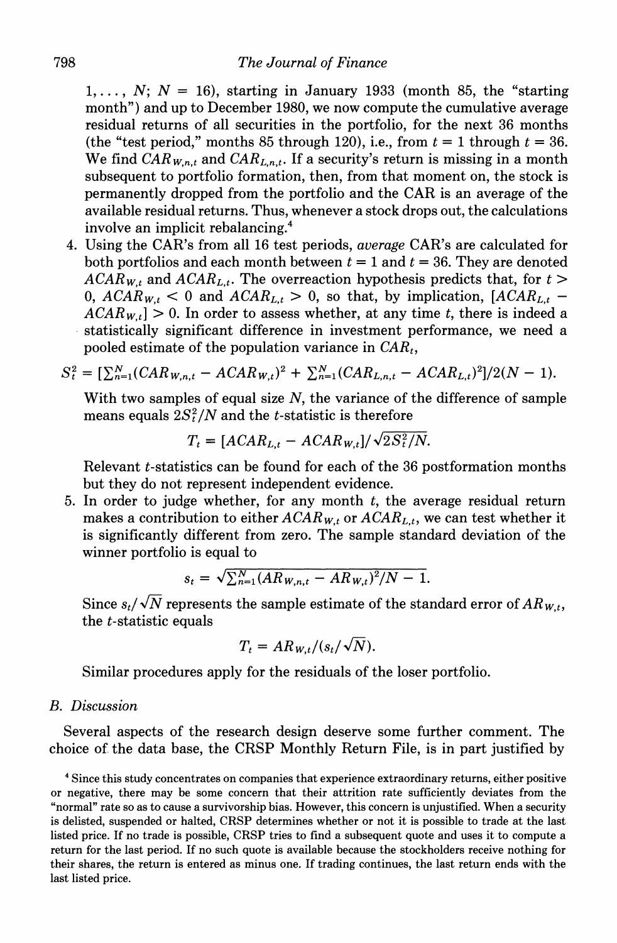$1, \ldots, N; N = 16$ , starting in January 1933 (month 85, the "starting" month") and up to December 1980, we now compute the cumulative average residual returns of all securities in the portfolio, for the next 36 months (the "test period," months 85 through 120), i.e., from  $t = 1$  through  $t = 36$ . We find  $CAR_{W,n,t}$  and  $CAR_{L,n,t}$ . If a security's return is missing in a month subsequent to portfolio formation, then, from that moment on, the stock is permanently dropped from the portfolio and the CAR is an average of the available residual returns. Thus, whenever a stock drops out, the calculations involve an implicit rebalancing. $4$ 

4. Using the CAR's from all 16 test periods, *average* CAR's are calculated for both portfolios and each month between  $t = 1$  and  $t = 36$ . They are denoted  $ACAR_{W,t}$  and  $ACAR_{L,t}$ . The overreaction hypothesis predicts that, for  $t >$ 0,  $ACAR_{W,t}$  < 0 and  $ACAR_{L,t}$  > 0, so that, by implication,  $ACAR_{L,t}$  –  $ACAR_{W,t}$  > 0. In order to assess whether, at any time t, there is indeed a statistically significant difference in investment performance, we need a pooled estimate of the population variance in  $CAR_t$ ,

$$
S_t^2 = \left[\sum_{n=1}^N (CAR_{W,n,t} - ACAR_{W,t})^2 + \sum_{n=1}^N (CAR_{L,n,t} - ACAR_{L,t})^2\right]/2(N-1).
$$

With two samples of equal size  $N$ , the variance of the difference of sample means equals  $2S_t^2/N$  and the *t*-statistic is therefore

$$
T_t = [ACAR_{L,t} - ACAR_{W,t}]/\sqrt{2S_t^2/N}.
$$

Relevant t-statistics can be found for each of the 36 postformation months but they do not represent independent evidence.

5. In order to judge whether, for any month  $t$ , the average residual return makes a contribution to either  $ACAR_{W,t}$  or  $ACAR_{L,t}$ , we can test whether it is significantly different from zero. The sample standard deviation of the winner portfolio is equal to

$$
s_t = \sqrt{\sum_{n=1}^{N} (AR_{W,n,t} - AR_{W,t})^2 / N - 1}.
$$

Since  $s_t/\sqrt{N}$  represents the sample estimate of the standard error of  $AR_{W,t}$ , the t-statistic equals

$$
T_t = AR_{W,t}/(s_t/\sqrt{N}).
$$

Similar procedures apply for the residuals of the loser portfolio.

#### **B.** Discussion

Several aspects of the research design deserve some further comment. The choice of the data base, the CRSP Monthly Return File, is in part justified by

Since this study concentrates on companies that experience extraordinary returns, either positive or negative, there may be some concern that their attrition rate sufficiently deviates from the "normal" rate so as to cause a survivorship bias. However, this concern is unjustified. When a security is delisted, suspended or halted, CRSP determines whether or not it is possible to trade at the last listed price. If no trade is possible, CRSP tries to find a subsequent quote and uses it to compute a return for the last period. If no such quote is available because the stockholders receive nothing for their shares, the return is entered as minus one. If trading continues, the last return ends with the last listed price.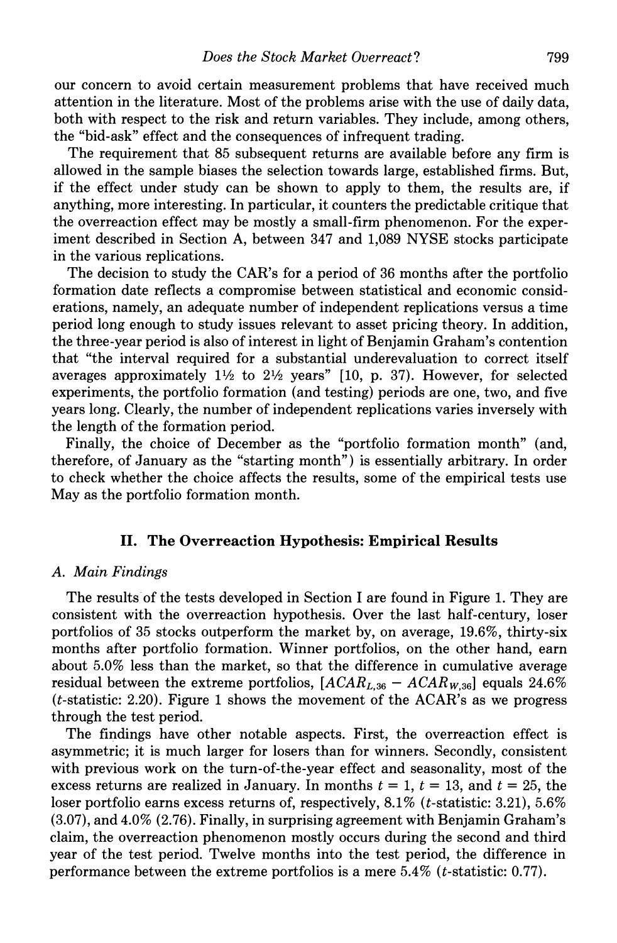our concern to avoid certain measurement problems that have received much attention in the literature. Most of the problems arise with the use of daily data, both with respect to the risk and return variables. They include, among others, the "bid-ask" effect and the consequences of infrequent trading.

The requirement that 85 subsequent returns are available before any firm is allowed in the sample biases the selection towards large, established firms. But, if the effect under study can be shown to apply to them, the results are, if anything, more interesting. In particular, it counters the predictable critique that the overreaction effect may be mostly a small-firm phenomenon. For the experiment described in Section A, between 347 and 1,089 NYSE stocks participate in the various replications.

The decision to study the CAR'S for a period of 36 months after the portfolio formation date reflects a compromise between statistical and economic considerations, namely, an adequate number of independent replications versus a time period long enough to study issues relevant to asset pricing theory. In addition, the three-year period is also of interest in light of Benjamin Graham's contention that "the interval required for a substantial underevaluation to correct itself averages approximately  $1\frac{1}{2}$  to  $2\frac{1}{2}$  years" [10, p. 37). However, for selected experiments, the portfolio formation (and testing) periods are one, two, and five years long. Clearly, the number of independent replications varies inversely with the length of the formation period.

Finally, the choice of December as the "portfolio formation month" (and, therefore, of January as the "starting month") is essentially arbitrary. In order to check whether the choice affects the results, some of the empirical tests use May as the portfolio formation month.

#### **11. The Overreaction Hypothesis: Empirical Results**

#### **A.** Main Findings

The results of the tests developed in Section I are found in Figure 1.They are consistent with the overreaction hypothesis. Over the last half-century, loser portfolios of 35 stocks outperform the market by, on average, 19.6%, thirty-six months after portfolio formation. Winner portfolios, on the other hand, earn about 5.0% less than the market, so that the difference in cumulative average residual between the extreme portfolios,  $[ACAR_{L,36} - ACAR_{W,36}]$  equals 24.6% (*t*-statistic: 2.20). Figure 1 shows the movement of the ACAR's as we progress through the test period.

The findings have other notable aspects. First, the overreaction effect is asymmetric; it is much larger for losers than for winners. Secondly, consistent with previous work on the turn-of-the-year effect and seasonality, most of the excess returns are realized in January. In months  $t = 1, t = 13$ , and  $t = 25$ , the loser portfolio earns excess returns of, respectively, 8.1% (*t*-statistic: 3.21), 5.6% (3.07), and 4.0% (2.76). Finally, in surprising agreement with Benjamin Graham's claim, the overreaction phenomenon mostly occurs during the second and third year of the test period. Twelve months into the test period, the difference in performance between the extreme portfolios is a mere 5.4% (t-statistic: 0.77).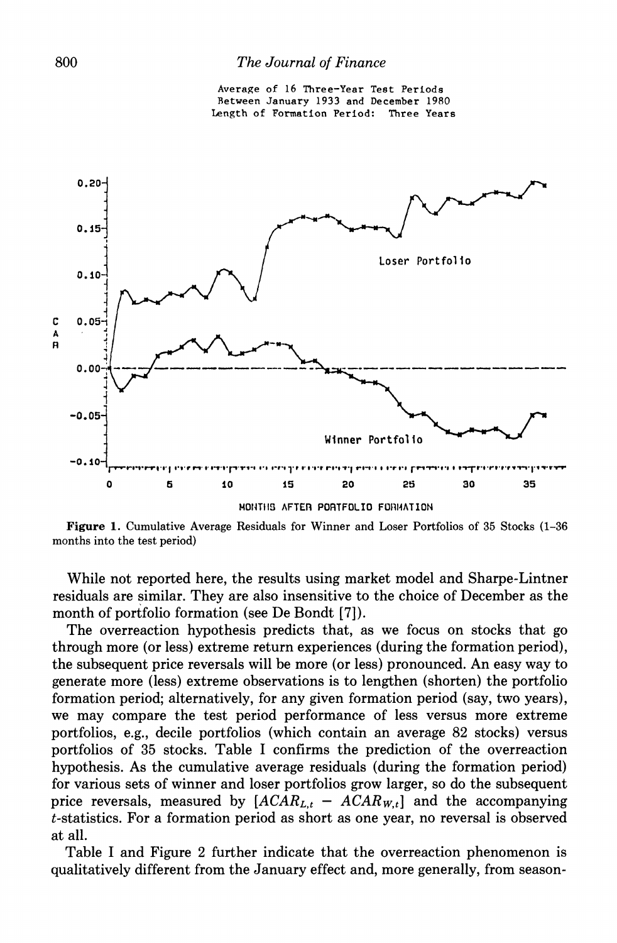



**Figure 1.** Cumulative Average Residuals for Winner and Loser Portfolios of **35** Stocks (1-36 months into the test period)

While not reported here, the results using market model and Sharpe-Lintner residuals are similar. They are also insensitive to the choice of December as the month of portfolio formation (see De Bondt [7]).

The overreaction hypothesis predicts that, as we focus on stocks that go through more (or less) extreme return experiences (during the formation period), the subsequent price reversals will be more (or less) pronounced. An easy way to generate more (less) extreme observations is to lengthen (shorten) the portfolio formation period; alternatively, for any given formation period (say, two years), we may compare the test period performance of less versus more extreme portfolios, e.g., decile portfolios (which contain an average 82 stocks) versus portfolios of **35** stocks. Table I confirms the prediction of the overreaction hypothesis. As the cumulative average residuals (during the formation period) for various sets of winner and loser portfolios grow larger, so do the subsequent price reversals, measured by  $[ACAR_{L,t} - ACAR_{W,t}]$  and the accompanying t-statistics. For a formation period as short as one year, no reversal is observed at all.

Table I and Figure **2** further indicate that the overreaction phenomenon is qualitatively different from the January effect and, more generally, from season-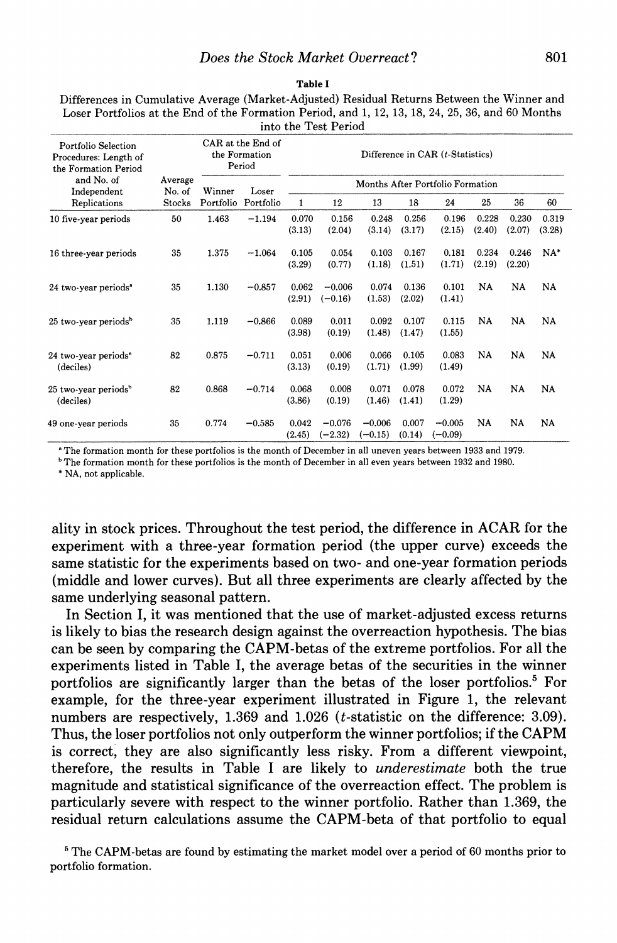#### **Table** I

| into the Test Period                                                                                              |                             |                                              |                    |                                  |                       |                       |                 |                       |                 |                 |                 |
|-------------------------------------------------------------------------------------------------------------------|-----------------------------|----------------------------------------------|--------------------|----------------------------------|-----------------------|-----------------------|-----------------|-----------------------|-----------------|-----------------|-----------------|
| Portfolio Selection<br>Procedures: Length of<br>the Formation Period<br>and No. of<br>Independent<br>Replications | Average<br>No. of<br>Stocks | CAR at the End of<br>the Formation<br>Period |                    | Difference in CAR (t-Statistics) |                       |                       |                 |                       |                 |                 |                 |
|                                                                                                                   |                             | Winner<br>Portfolio                          | Loser<br>Portfolio | Months After Portfolio Formation |                       |                       |                 |                       |                 |                 |                 |
|                                                                                                                   |                             |                                              |                    | 1                                | 12                    | 13                    | 18              | 24                    | 25              | 36              | 60              |
| 10 five-year periods                                                                                              | 50                          | 1.463                                        | $-1.194$           | 0.070<br>(3.13)                  | 0.156<br>(2.04)       | 0.248<br>(3.14)       | 0.256<br>(3.17) | 0.196<br>(2.15)       | 0.228<br>(2.40) | 0.230<br>(2.07) | 0.319<br>(3.28) |
| 16 three-year periods                                                                                             | 35                          | 1.375                                        | $-1.064$           | 0.105<br>(3.29)                  | 0.054<br>(0.77)       | 0.103<br>(1.18)       | 0.167<br>(1.51) | 0.181<br>(1.71)       | 0.234<br>(2.19) | 0.246<br>(2.20) | $NA*$           |
| 24 two-year periods <sup>®</sup>                                                                                  | 35                          | 1.130                                        | $-0.857$           | 0.062<br>(2.91)                  | $-0.006$<br>$(-0.16)$ | 0.074<br>(1.53)       | 0.136<br>(2.02) | 0.101<br>(1.41)       | NA              | NA              | NA              |
| 25 two-year periods <sup>b</sup>                                                                                  | 35                          | 1.119                                        | $-0.866$           | 0.089<br>(3.98)                  | 0.011<br>(0.19)       | 0.092<br>(1.48)       | 0.107<br>(1.47) | 0.115<br>(1.55)       | <b>NA</b>       | NA              | NA              |
| 24 two-year periods <sup>a</sup><br>(deciles)                                                                     | 82                          | 0.875                                        | $-0.711$           | 0.051<br>(3.13)                  | 0.006<br>(0.19)       | 0.066<br>(1.71)       | 0.105<br>(1.99) | 0.083<br>(1.49)       | NA              | NA.             | NA              |
| 25 two-year periods <sup>h</sup><br>(deciles)                                                                     | 82                          | 0.868                                        | $-0.714$           | 0.068<br>(3.86)                  | 0.008<br>(0.19)       | 0.071<br>(1.46)       | 0.078<br>(1.41) | 0.072<br>(1.29)       | NA              | NA              | <b>NA</b>       |
| 49 one-year periods                                                                                               | 35                          | 0.774                                        | $-0.585$           | 0.042<br>(2.45)                  | $-0.076$<br>$(-2.32)$ | $-0.006$<br>$(-0.15)$ | 0.007<br>(0.14) | $-0.005$<br>$(-0.09)$ | NA              | NA              | NA              |

Differences in Cumulative Average (Market-Adjusted) Residual Returns Between the Winner and Loser Portfolios at the End of the Formation Period, and 1,12, 13,18, 24, 25,36, and 60 Months into the Test Period

"The formation month for these portfolios is the month of December in all uneven years between 1933 and 1979.

 $b$  The formation month for these portfolios is the month of December in all even years between 1932 and 1980.

\* NA, not applicable.

ality in stock prices. Throughout the test period, the difference in ACAR for the experiment with a three-year formation period (the upper curve) exceeds the same statistic for the experiments based on two- and one-year formation periods (middle and lower curves). But all three experiments are clearly affected by the same underlying seasonal pattern.

In Section I, it was mentioned that the use of market-adjusted excess returns is likely to bias the research design against the overreaction hypothesis. The bias can be seen by comparing the CAPM-betas of the extreme portfolios. For all the experiments listed in Table I, the average betas of the securities in the winner portfolios are significantly larger than the betas of the loser portfolios.<sup>5</sup> For example, for the three-year experiment illustrated in Figure 1, the relevant numbers are respectively, 1.369 and 1.026 (t-statistic on the difference: 3.09). Thus, the loser portfolios not only outperform the winner portfolios; if the CAPM is correct, they are also significantly less risky. From a different viewpoint, therefore, the results in Table I are likely to underestimate both the true magnitude and statistical significance of the overreaction effect. The problem is particularly severe with respect to the winner portfolio. Rather than 1.369, the residual return calculations assume the CAPM-beta of that portfolio to equal

<sup>&</sup>lt;sup>5</sup> The CAPM-betas are found by estimating the market model over a period of 60 months prior to portfolio formation.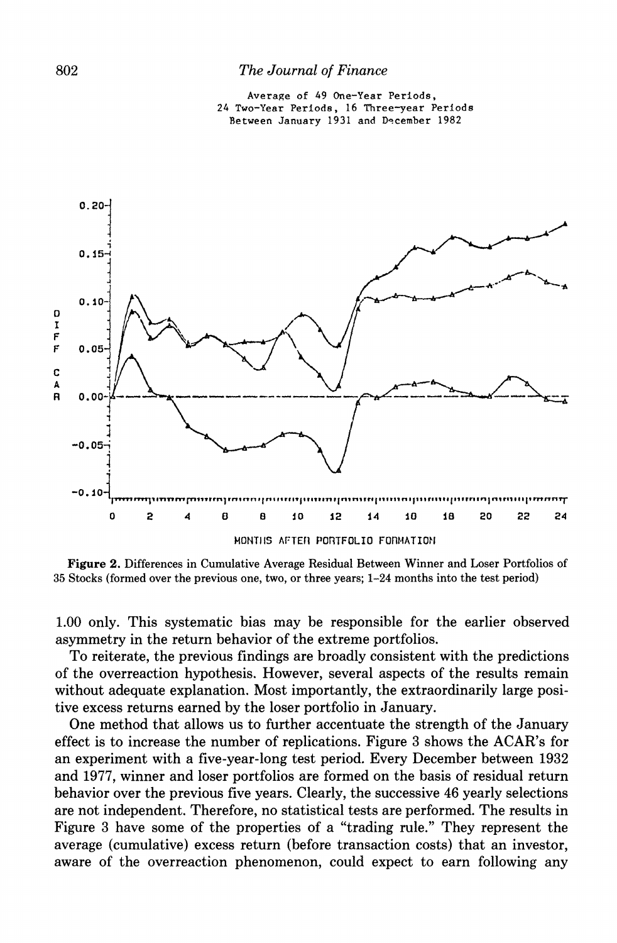



**Figure** 2. Differences in Cumulative Average Residual Between Winner and Loser Portfolios of **35** Stocks (formed over the previous one, two, or three years; 1-24 months into the test period)

1.00 only. This systematic bias may be responsible for the earlier observed asymmetry in the return behavior of the extreme portfolios.

To reiterate, the previous findings are broadly consistent with the predictions of the overreaction hypothesis. However, several aspects of the results remain without adequate explanation. Most importantly, the extraordinarily large positive excess returns earned by the loser portfolio in January.

One method that allows us to further accentuate the strength of the January effect is to increase the number of replications. Figure 3 shows the ACAR's for an experiment with a five-year-long test period. Every December between 1932 and 1977, winner and loser portfolios are formed on the basis of residual return behavior over the previous five years. Clearly, the successive 46 yearly selections are not independent. Therefore, no statistical tests are performed. The results in Figure 3 have some of the properties of a "trading rule." They represent the average (cumulative) excess return (before transaction costs) that an investor, aware of the overreaction phenomenon, could expect to earn following any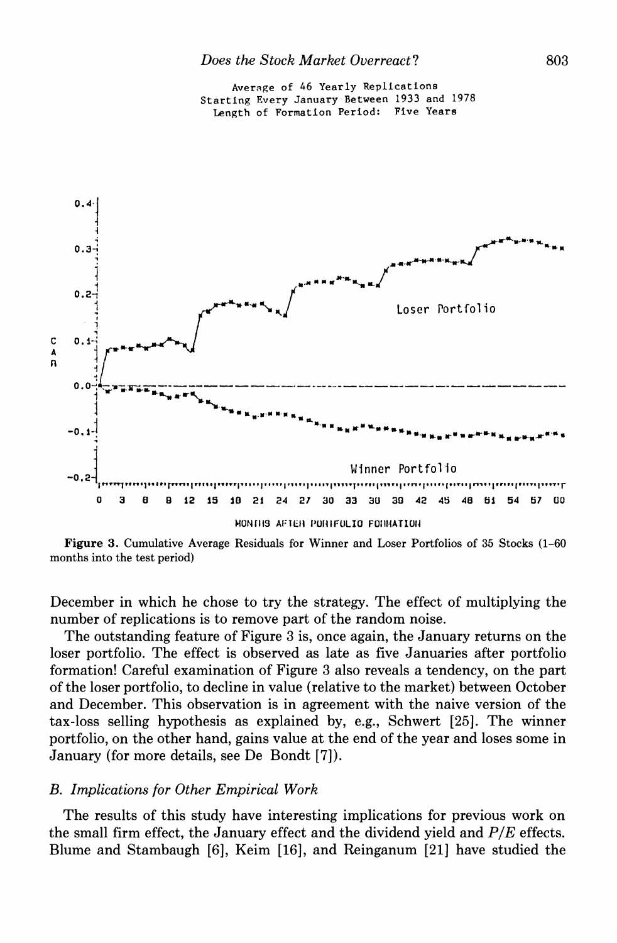

Average of 46 Yearly RepLications Starting Every January Between 1933 and 1978 Length of Formation Period: Five Years

**Figure** 3. Cumulative Average Residuals for Winner and Loser Portfolios of **35** Stocks (1-60 months into the test period)

December in which he chose to try the strategy. The effect of multiplying the number of replications is to remove part of the random noise.

The outstanding feature of Figure **3** is, once again, the January returns on the loser portfolio. The effect is observed as late as five Januaries after portfolio formation! Careful examination of Figure **3** also reveals a tendency, on the part of the loser portfolio, to decline in value (relative to the market) between October and December. This observation is in agreement with the naive version of the tax-loss selling hypothesis as explained by, e.g., Schwert **[25].** The winner portfolio, on the other hand, gains value at the end of the year and loses some in January (for more details, see De Bondt [7]).

#### *B. Implications for Other Empirical Work*

The results of this study have interesting implications for previous work on the small firm effect, the January effect and the dividend yield and *PIE* effects. Blume and Stambaugh [6], Keim [16], and Reinganum [21] have studied the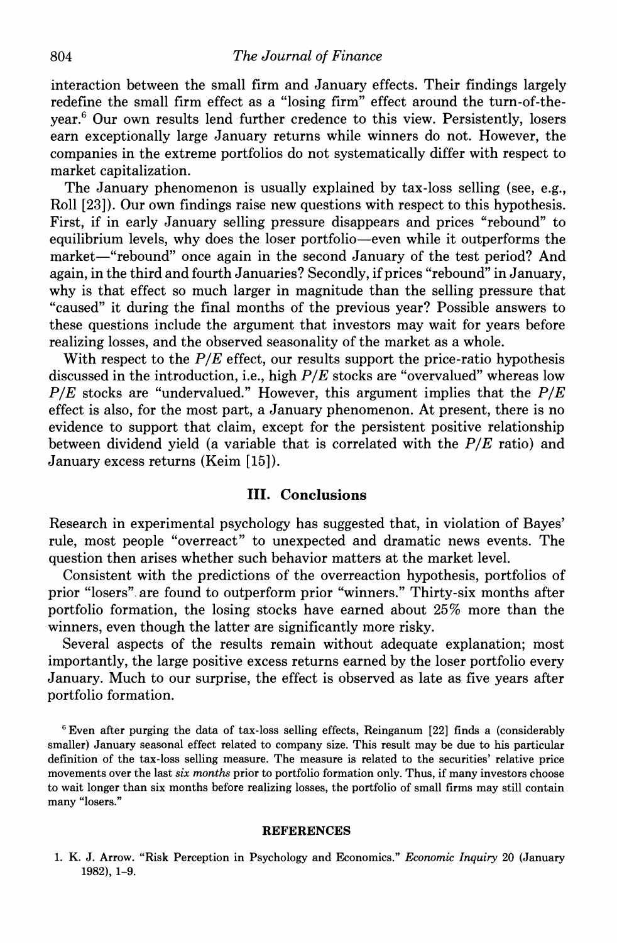interaction between the small firm and January effects. Their findings largely redefine the small firm effect as a "losing firm" effect around the turn-of-theyear.6 Our own results lend further credence to this view. Persistently, losers earn exceptionally large January returns while winners do not. However, the companies in the extreme portfolios do not systematically differ with respect to market capitalization.

The January phenomenon is usually explained by tax-loss selling (see, e.g., Roll [23]). Our own findings raise new questions with respect to this hypothesis. First, if in early January selling pressure disappears and prices "rebound" to equilibrium levels, why does the loser portfolio-even while it outperforms the market—"rebound" once again in the second January of the test period? And again, in the third and fourth Januaries? Secondly, if prices "rebound" in January, why is that effect so much larger in magnitude than the selling pressure that "caused" it during the final months of the previous year? Possible answers to these questions include the argument that investors may wait for years before realizing losses, and the observed seasonality of the market as a whole.

With respect to the  $P/E$  effect, our results support the price-ratio hypothesis discussed in the introduction, i.e., high *PIE* stocks are "overvalued" whereas low *PIE* stocks are "undervalued." However, this argument implies that the *PIE*  effect is also, for the most part, a January phenomenon. At present, there is no evidence to support that claim, except for the persistent positive relationship between dividend yield (a variable that is correlated with the *PIE* ratio) and January excess returns (Keim [15]).

#### **111. Conclusions**

Research in experimental psychology has suggested that, in violation of Bayes' rule, most people "overreact" to unexpected and dramatic news events. The question then arises whether such behavior matters at the market level.

Consistent with the predictions of the overreaction hypothesis, portfolios of prior "losers" are found to outperform prior "winners." Thirty-six months after portfolio formation, the losing stocks have earned about 25% more than the winners, even though the latter are significantly more risky.

Several aspects of the results remain without adequate explanation; most importantly, the large positive excess returns earned by the loser portfolio every January. Much to our surprise, the effect is observed as late as five years after portfolio formation.

 $6$  Even after purging the data of tax-loss selling effects, Reinganum [22] finds a (considerably smaller) January seasonal effect related to company size. This result may be due to his particular definition of the tax-loss selling measure. The measure is related to the securities' relative price movements over the last **six** *months* prior to portfolio formation only. Thus, if many investors choose to wait longer than six months before realizing losses, the portfolio of small firms may still contain many "losers."

#### **REFERENCES**

1. K. J. Arrow. "Risk Perception in Psychology and Economics." *Economic Inquiry* 20 (January 1982), 1-9.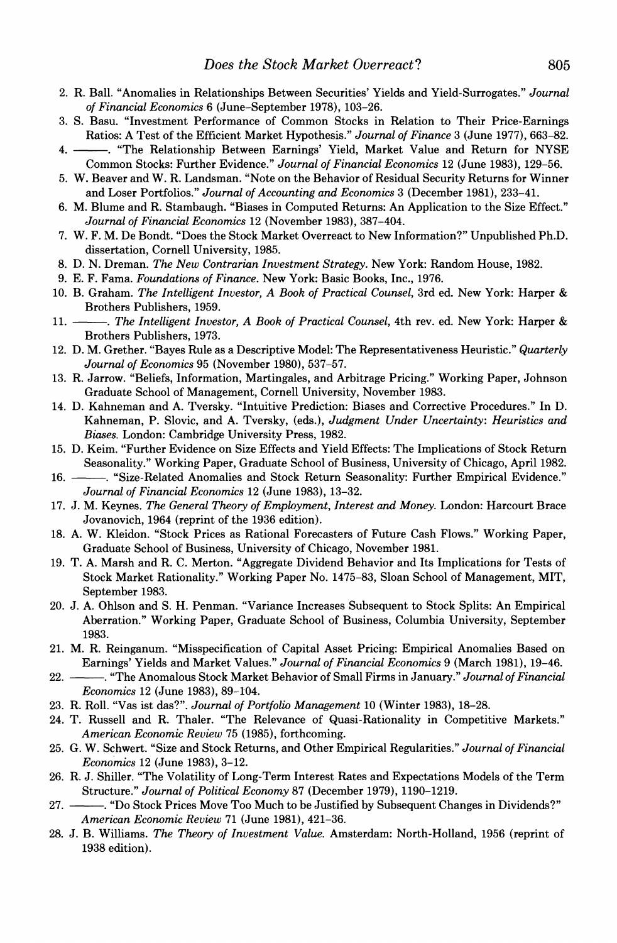- 2. R. Ball. "Anomalies in Relationships Between Securities' Yields and Yield-Surrogates." Journal of Financial Economics 6 (June-September 1978), 103-26.
- 3. S. Basu. "Investment Performance of Common Stocks in Relation to Their Price-Earnings Ratios: A Test of the Efficient Market Hypothesis." Journal of Finance 3 (June 1977), 663–82.<br>---------- "The Relationship Between Earnings' Yield, Market Value and Return for NYSE *Does the Stock Market Overreact?* 805<br>
2. R. Ball. "Anomalies in Relationships Between Securities' Yields and Yield-Surrogates." Journal<br>
3. S. Basu. "Investment Performance of Common Stocks in Relation to Their Price-Ear
- Common Stocks: Further Evidence." Journal of Financial Economics 12 (June 1983), 129-56.
- 5. W. Beaver and W. R. Landsman. "Note on the Behavior of Residual Security Returns for Winner and Loser Portfolios." Journal of Accounting and Economics 3 (December 1981), 233-41.
- 6. M. Blume and R. Stambaugh. "Biases in Computed Returns: An Application to the Size Effect." Journal of Financial Economics 12 (November 1983), 387-404.
- 7. W. F. M. De Bondt. "Does the Stock Market Overreact to New Information?" Unpublished Ph.D. dissertation, Cornell University, 1985.
- 8. D. N. Dreman. The New Contrarian Investment Strategy. New York: Random House, 1982.
- 9. E. F. Fama. Foundations of Finance. New York: Basic Books, Inc., 1976.
- 10. B. Graham. The Intelligent Investor, A Book of Practical Counsel, 3rd ed. New York: Harper & Brothers Publishers, 1959.<br>- The Intelligent Investor, A Book of Practical Counsel, 4th rev. ed. New York: Harper &
- 11. -. The Intelligent Investor, A Book of Practical Counsel, 4th rev. ed. New York: Harper & Brothers Publishers, 1973.
- 12. D. M. Grether. "Bayes Rule as a Descriptive Model: The Representativeness Heuristic." Quarterly Journal of Economics 95 (November 1980), 537-57.
- 13. R. Jarrow. "Beliefs, Information, Martingales, and Arbitrage Pricing." Working Paper, Johnson Graduate School of Management, Cornell University, November 1983.
- 14. D. Kahneman and A. Tversky. "Intuitive Prediction: Biases and Corrective Procedures." In D. Kahneman, P. Slovic, and A. Tversky, (eds.), Judgment Under Uncertainty: Heuristics and Biases. London: Cambridge University Press, 1982. 16. It. safrow. Letters, information, inatemgates, and instead in Fig. Working I aper, somison<br>
16. It. D. Kahneman and A. Tversky. "Intuitive Prediction: Biases and Corrective Procedures." In D.<br>
16. Kahneman, P. Slovic,
- 15. D. Keim. "Further Evidence on Size Effects and Yield Effects: The Implications of Stock Return Seasonality." Working Paper, Graduate School of Business, University of Chicago, April 1982.
- Journal of Financial Economics 12 (June 1983), 13-32.
- 17. J. M. Keynes. The General Theory of Employment, Interest and Money. London: Harcourt Brace Jovanovich, 1964 (reprint of the 1936 edition).
- 18. A. W. Kleidon. "Stock Prices as Rational Forecasters of Future Cash Flows." Working Paper, Graduate School of Business, University of Chicago, November 1981.
- 19. T. A. Marsh and R. C. Merton. "Aggregate Dividend Behavior and Its Implications for Tests of Stock Market Rationality." Working Paper No. 1475-83, Sloan School of Management, MIT, September 1983.
- 20. J. A. Ohlson and S. H. Penman. "Variance Increases Subsequent to Stock Splits: An Empirical Aberration." Working Paper, Graduate School of Business, Columbia University, September 1983. 22. J. M. R. Reinganum. "Misspecification of Capital Asset Pricing: Empirical Abertation." Working Paper, Graduate School of Business, Columbia University, September<br>1983.<br>21. M. R. Reinganum. "Misspecification of Capital
- 21. M. R. Reinganum. "Misspecification of Capital Asset Pricing: Empirical Anomalies Based on Earnings' Yields and Market Values." Journal of Financial Economics 9 (March 1981), 19-46.
- Economics 12 (June 1983), 89-104.
- 23. R. Roll. "Vas ist das?". Journal of Portfolio Management 10 (Winter 1983), 18-28.
- 24. T. Russell and R. Thaler. "The Relevance of Quasi-Rationality in Competitive Markets." American Economic Review 75 (1985), forthcoming. 27. The Relevant of The Relevance of Quasi-Rationality in Competitive Markets.<br>
27. G. W. Schwert. "Size and Stock Returns, and Other Empirical Regularities." Journal of Financia.<br>
26. G. W. Schwert. "Size and Stock Return
- 25. G. W. Schwert. "Size and Stock Returns, and Other Empirical Regularities." Journal of Financial Economics 12 (June 1983), 3-12.
- 26. R. J. Shiller. "The Volatility of Long-Term Interest Rates and Expectations Models of the Term Structure." *Journal of Political Economy* 87 (December 1979), 1190–1219.<br>——. "Do Stock Prices Move Too Much to be Justified by Subsequent Changes in Dividends?"
- American Economic Review 71 (June 1981), 421-36.
- 28. J. B. Williams. The Theory of Investment Value. Amsterdam: North-Holland, 1956 (reprint of 1938 edition).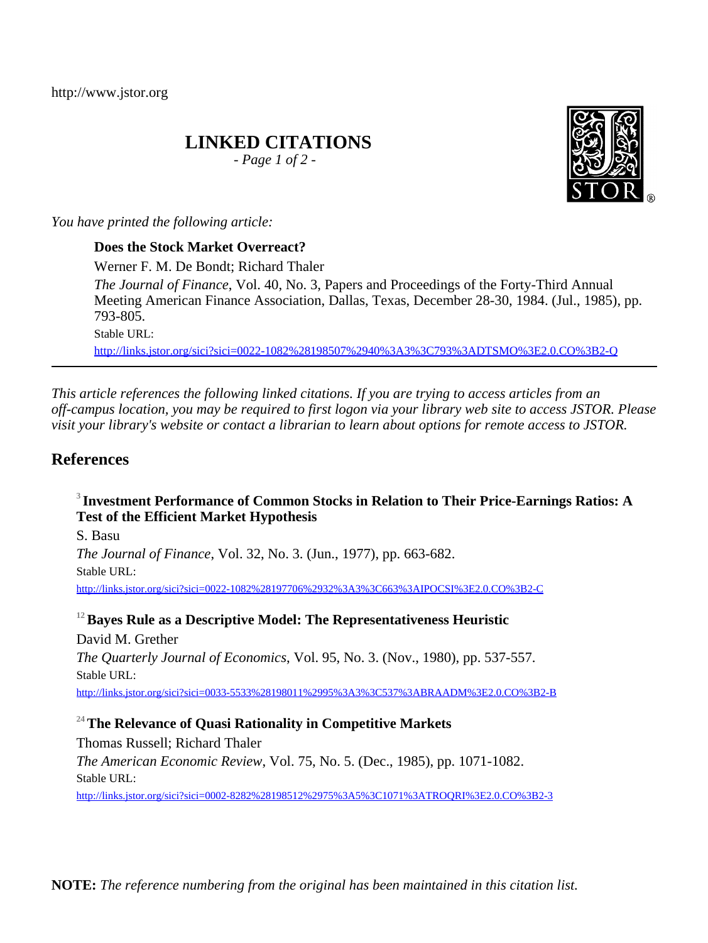http://www.jstor.org

# **LINKED CITATIONS**

*- Page 1 of 2 -*



*You have printed the following article:*

### **Does the Stock Market Overreact?**

Werner F. M. De Bondt; Richard Thaler

*The Journal of Finance*, Vol. 40, No. 3, Papers and Proceedings of the Forty-Third Annual Meeting American Finance Association, Dallas, Texas, December 28-30, 1984. (Jul., 1985), pp. 793-805.

Stable URL: [http://links.jstor.org/sici?sici=0022-1082%28198507%2940%3A3%3C793%3ADTSMO%3E2.0.CO%3B2-Q](http://links.jstor.org/sici?sici=0022-1082%28198507%2940%3A3%3C793%3ADTSMO%3E2.0.CO%3B2-Q&origin=JSTOR-pdf)

*This article references the following linked citations. If you are trying to access articles from an off-campus location, you may be required to first logon via your library web site to access JSTOR. Please visit your library's website or contact a librarian to learn about options for remote access to JSTOR.*

# **References**

# **3 Investment Performance of Common Stocks in Relation to Their Price-Earnings Ratios: A Test of the Efficient Market Hypothesis**

S. Basu

*The Journal of Finance*, Vol. 32, No. 3. (Jun., 1977), pp. 663-682. Stable URL: [http://links.jstor.org/sici?sici=0022-1082%28197706%2932%3A3%3C663%3AIPOCSI%3E2.0.CO%3B2-C](http://links.jstor.org/sici?sici=0022-1082%28197706%2932%3A3%3C663%3AIPOCSI%3E2.0.CO%3B2-C&origin=JSTOR-pdf)

**<sup>12</sup>Bayes Rule as a Descriptive Model: The Representativeness Heuristic**

David M. Grether

*The Quarterly Journal of Economics*, Vol. 95, No. 3. (Nov., 1980), pp. 537-557. Stable URL:

[http://links.jstor.org/sici?sici=0033-5533%28198011%2995%3A3%3C537%3ABRAADM%3E2.0.CO%3B2-B](http://links.jstor.org/sici?sici=0033-5533%28198011%2995%3A3%3C537%3ABRAADM%3E2.0.CO%3B2-B&origin=JSTOR-pdf)

**<sup>24</sup>The Relevance of Quasi Rationality in Competitive Markets** Thomas Russell; Richard Thaler *The American Economic Review*, Vol. 75, No. 5. (Dec., 1985), pp. 1071-1082. Stable URL:

[http://links.jstor.org/sici?sici=0002-8282%28198512%2975%3A5%3C1071%3ATROQRI%3E2.0.CO%3B2-3](http://links.jstor.org/sici?sici=0002-8282%28198512%2975%3A5%3C1071%3ATROQRI%3E2.0.CO%3B2-3&origin=JSTOR-pdf)